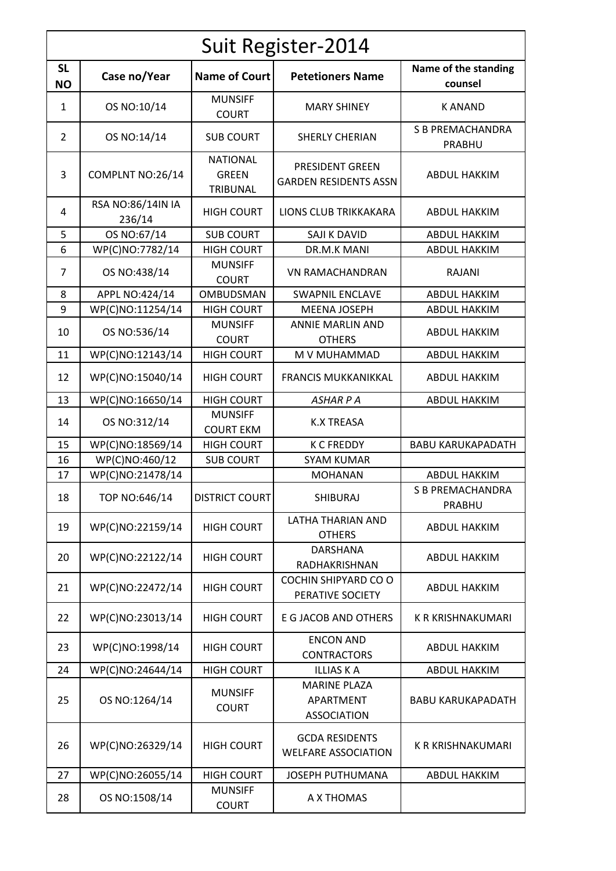| Suit Register-2014     |                             |                                             |                                                        |                                   |  |  |  |
|------------------------|-----------------------------|---------------------------------------------|--------------------------------------------------------|-----------------------------------|--|--|--|
| <b>SL</b><br><b>NO</b> | Case no/Year                | <b>Name of Court</b>                        | <b>Petetioners Name</b>                                | Name of the standing<br>counsel   |  |  |  |
| $\mathbf{1}$           | OS NO:10/14                 | <b>MUNSIFF</b><br><b>COURT</b>              | <b>MARY SHINEY</b>                                     | <b>KANAND</b>                     |  |  |  |
| 2                      | OS NO:14/14                 | <b>SUB COURT</b>                            | <b>SHERLY CHERIAN</b>                                  | <b>S B PREMACHANDRA</b><br>PRABHU |  |  |  |
| 3                      | COMPLNT NO:26/14            | <b>NATIONAL</b><br><b>GREEN</b><br>TRIBUNAL | <b>PRESIDENT GREEN</b><br><b>GARDEN RESIDENTS ASSN</b> | <b>ABDUL HAKKIM</b>               |  |  |  |
| 4                      | RSA NO:86/14IN IA<br>236/14 | <b>HIGH COURT</b>                           | LIONS CLUB TRIKKAKARA                                  | <b>ABDUL HAKKIM</b>               |  |  |  |
| 5                      | OS NO:67/14                 | <b>SUB COURT</b>                            | SAJI K DAVID                                           | <b>ABDUL HAKKIM</b>               |  |  |  |
| 6                      | WP(C)NO:7782/14             | <b>HIGH COURT</b>                           | DR.M.K MANI                                            | <b>ABDUL HAKKIM</b>               |  |  |  |
| 7                      | OS NO:438/14                | <b>MUNSIFF</b><br><b>COURT</b>              | <b>VN RAMACHANDRAN</b>                                 | RAJANI                            |  |  |  |
| 8                      | APPL NO:424/14              | OMBUDSMAN                                   | <b>SWAPNIL ENCLAVE</b>                                 | <b>ABDUL HAKKIM</b>               |  |  |  |
| 9                      | WP(C)NO:11254/14            | <b>HIGH COURT</b>                           | <b>MEENA JOSEPH</b>                                    | <b>ABDUL HAKKIM</b>               |  |  |  |
| 10                     | OS NO:536/14                | <b>MUNSIFF</b><br><b>COURT</b>              | <b>ANNIE MARLIN AND</b><br><b>OTHERS</b>               | <b>ABDUL HAKKIM</b>               |  |  |  |
| 11                     | WP(C)NO:12143/14            | <b>HIGH COURT</b>                           | M V MUHAMMAD                                           | <b>ABDUL HAKKIM</b>               |  |  |  |
| 12                     | WP(C)NO:15040/14            | <b>HIGH COURT</b>                           | <b>FRANCIS MUKKANIKKAL</b>                             | <b>ABDUL HAKKIM</b>               |  |  |  |
| 13                     | WP(C)NO:16650/14            | <b>HIGH COURT</b>                           | <b>ASHARPA</b>                                         | <b>ABDUL HAKKIM</b>               |  |  |  |
| 14                     | OS NO:312/14                | <b>MUNSIFF</b><br><b>COURT EKM</b>          | <b>K.X TREASA</b>                                      |                                   |  |  |  |
| 15                     | WP(C)NO:18569/14            | <b>HIGH COURT</b>                           | <b>K C FREDDY</b>                                      | <b>BABU KARUKAPADATH</b>          |  |  |  |
| 16                     | WP(C)NO:460/12              | <b>SUB COURT</b>                            | <b>SYAM KUMAR</b>                                      |                                   |  |  |  |
| 17                     | WP(C)NO:21478/14            |                                             | <b>MOHANAN</b>                                         | <b>ABDUL HAKKIM</b>               |  |  |  |
| 18                     | TOP NO:646/14               | <b>DISTRICT COURT</b>                       | <b>SHIBURAJ</b>                                        | S B PREMACHANDRA<br>PRABHU        |  |  |  |
| 19                     | WP(C)NO:22159/14            | <b>HIGH COURT</b>                           | LATHA THARIAN AND<br><b>OTHERS</b>                     | <b>ABDUL HAKKIM</b>               |  |  |  |
| 20                     | WP(C)NO:22122/14            | <b>HIGH COURT</b>                           | DARSHANA<br>RADHAKRISHNAN                              | <b>ABDUL HAKKIM</b>               |  |  |  |
| 21                     | WP(C)NO:22472/14            | <b>HIGH COURT</b>                           | COCHIN SHIPYARD CO O<br>PERATIVE SOCIETY               | <b>ABDUL HAKKIM</b>               |  |  |  |
| 22                     | WP(C)NO:23013/14            | <b>HIGH COURT</b>                           | E G JACOB AND OTHERS                                   | <b>K R KRISHNAKUMARI</b>          |  |  |  |
| 23                     | WP(C)NO:1998/14             | <b>HIGH COURT</b>                           | <b>ENCON AND</b><br><b>CONTRACTORS</b>                 | <b>ABDUL HAKKIM</b>               |  |  |  |
| 24                     | WP(C)NO:24644/14            | <b>HIGH COURT</b>                           | <b>ILLIAS K A</b>                                      | <b>ABDUL HAKKIM</b>               |  |  |  |
| 25                     | OS NO:1264/14               | <b>MUNSIFF</b><br><b>COURT</b>              | <b>MARINE PLAZA</b><br>APARTMENT<br><b>ASSOCIATION</b> | <b>BABU KARUKAPADATH</b>          |  |  |  |
| 26                     | WP(C)NO:26329/14            | <b>HIGH COURT</b>                           | <b>GCDA RESIDENTS</b><br><b>WELFARE ASSOCIATION</b>    | K R KRISHNAKUMARI                 |  |  |  |
| 27                     | WP(C)NO:26055/14            | <b>HIGH COURT</b>                           | JOSEPH PUTHUMANA                                       | <b>ABDUL HAKKIM</b>               |  |  |  |
| 28                     | OS NO:1508/14               | <b>MUNSIFF</b><br><b>COURT</b>              | A X THOMAS                                             |                                   |  |  |  |